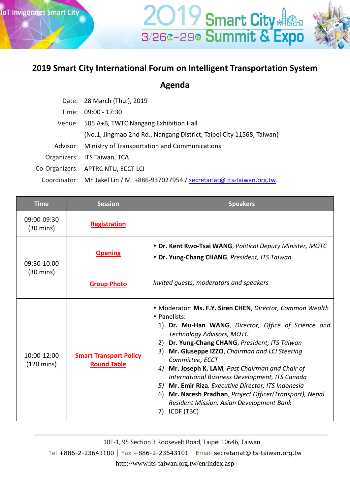## **2019 Smart City International Forum on Intelligent Transportation System**

**2019 Smart City** 

**Agenda**

| Date: 28 March (Thu.), 2019                                                     |  |
|---------------------------------------------------------------------------------|--|
| Time: 09:00 - 17:30                                                             |  |
| Venue: 505 A+B, TWTC Nangang Exhibition Hall                                    |  |
| (No.1, Jingmao 2nd Rd., Nangang District, Taipei City 11568, Taiwan)            |  |
| Advisor: Ministry of Transportation and Communications                          |  |
| Organizers: ITS Taiwan, TCA                                                     |  |
| Co-Organizers: APTRC NTU, ECCT LCI                                              |  |
| Coordinator: Mr. Jakel Lin / M: +886-937027954 / secretariat@ its-taiwan.org.tw |  |

| <b>Time</b>                         | <b>Session</b>                                      | <b>Speakers</b>                                                                                                                                                                                                                                                                                                                                                                                                                                                                                                                                                                                      |
|-------------------------------------|-----------------------------------------------------|------------------------------------------------------------------------------------------------------------------------------------------------------------------------------------------------------------------------------------------------------------------------------------------------------------------------------------------------------------------------------------------------------------------------------------------------------------------------------------------------------------------------------------------------------------------------------------------------------|
| 09:00-09:30<br>$(30 \text{ mins})$  | <b>Registration</b>                                 |                                                                                                                                                                                                                                                                                                                                                                                                                                                                                                                                                                                                      |
| 09:30-10:00<br>$(30 \text{ mins})$  | <b>Opening</b>                                      | • Dr. Kent Kwo-Tsai WANG, Political Deputy Minister, MOTC<br>• Dr. Yung-Chang CHANG, President, ITS Taiwan                                                                                                                                                                                                                                                                                                                                                                                                                                                                                           |
|                                     | <b>Group Photo</b>                                  | Invited quests, moderators and speakers                                                                                                                                                                                                                                                                                                                                                                                                                                                                                                                                                              |
| 10:00-12:00<br>$(120 \text{ mins})$ | <b>Smart Transport Policy</b><br><b>Round Table</b> | • Moderator: Ms. F.Y. Siren CHEN, Director, Common Wealth<br>• Panelists:<br>1) Dr. Mu-Han WANG, Director, Office of Science and<br><b>Technology Advisors, MOTC</b><br>Dr. Yung-Chang CHANG, President, ITS Taiwan<br>2)<br>Mr. Giuseppe IZZO, Chairman and LCI Steering<br>3)<br>Committee, ECCT<br>Mr. Joseph K. LAM, Past Chairman and Chair of<br>4)<br>International Business Development, ITS Canada<br>Mr. Emir Riza, Executive Director, ITS Indonesia<br>5)<br>Mr. Naresh Pradhan, Project Officer(Transport), Nepal<br>6)<br>Resident Mission, Asian Development Bank<br>ICDF (TBC)<br>7) |

10F-1, 95 Section 3 Roosevelt Road, Taipei 10646, Taiwan

Tel +886-2-23643100∣Fax +886-2-23643101∣Email secretariat@its-taiwan.org.tw http://www.its-taiwan.org.tw/en/index.asp